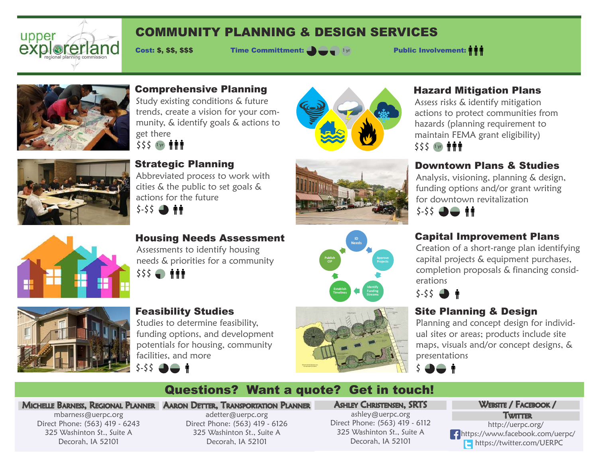

# COMMUNITY PLANNING & DESIGN SERVICES

Cost: \$, \$\$, \$\$\$ Time Committment:  $\bullet$   $\bullet$   $\bullet$   $\bullet$   $\bullet$  Public Involvement:



### Comprehensive Planning

Study existing conditions & future trends, create a vision for your community, & identify goals & actions to get there

\$\$\$ 1 yr **ninn** 



Strategic Planning

Feasibility Studies

facilities, and more

 $$-55$   $\bigoplus$   $\bigoplus$   $\uparrow$ 

Studies to determine feasibility, funding options, and development potentials for housing, community

Abbreviated process to work with cities & the public to set goals & actions for the future







Housing Needs Assessment Assessments to identify housing needs & priorities for a community





## actions to protect communities from hazards (planning requirement to

maintain FEMA grant eligibility) \$\$\$ 1 yr **###** 

## Downtown Plans & Studies

Hazard Mitigation Plans Assess risks & identify mitigation

Analysis, visioning, planning & design, funding options and/or grant writing for downtown revitalization



## Capital Improvement Plans

Creation of a short-range plan identifying capital projects & equipment purchases, completion proposals & financing considerations

\$-\$\$

## Site Planning & Design

Planning and concept design for individual sites or areas; products include site maps, visuals and/or concept designs, & presentations



# Questions? Want a quote? Get in touch!

#### Michelle Barness, Regional Planner Aaron Detter, Transportation Planner

mbarness@uerpc.org Direct Phone: (563) 419 - 6243 325 Washinton St., Suite A Decorah, IA 52101

adetter@uerpc.org Direct Phone: (563) 419 - 6126 325 Washinton St., Suite A Decorah, IA 52101

Ashley Christensen, SRTS ashley@uerpc.org Direct Phone: (563) 419 - 6112 325 Washinton St., Suite A

Decorah, IA 52101

#### WEBSITE / FACEBOOK /

Twitter

http://uerpc.org/ https://www.facebook.com/uerpc/ **https://twitter.com/UERPC**